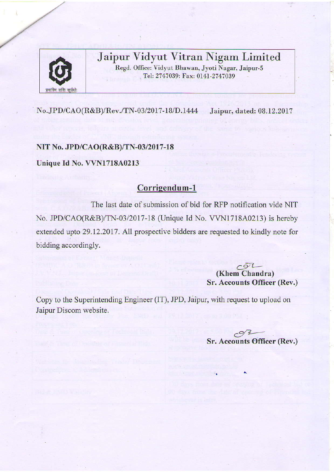

## Jaipur Vidyut Vitran Nigam Limited

Regd. Office: Vidyut Bhawan, Jyoti Nagar, Jaipur-5 Tel: 2747039: Fax: 0141-2747039

No.JPD/CAO(R&B)/Rev./TN-03/2017 -18/D.1444 Jaipur, dated: 08.L2.2077

NIT No. JPD/CAO(R&B)/TN-03/2017-18

Unique Id No. VVN1718A0213

## Corrigendum-1

The last date of submission of bid for RFP notification vide NIT No. JPD/CAO(R&B/TN-03/2017- 18 (Unique Id No. VVN17I8A0213) is hereby extended upto 29.12.2017. All prospective bidders are requested to kindly note for bidding accordingly.

> $CQ<sub>2</sub>$ (Khem Chandra) Sr. Accounts Officer (Rev.)

Copy to the Superintending Engineer (IT), JPD, Jaipur, with request to upload on Jaipur Discom website.

> $\frac{3}{2}$ Sr. Accounts Officer (ReY.)